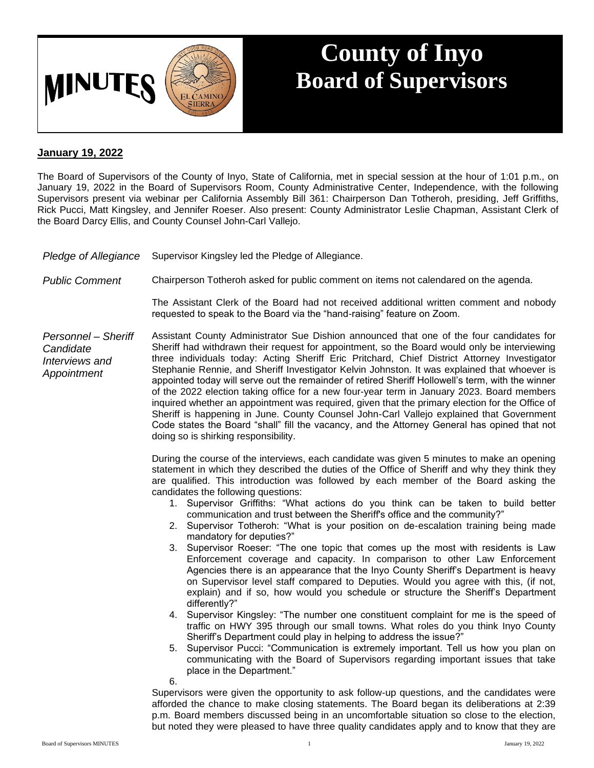

## **County of Inyo Board of Supervisors**

## **January 19, 2022**

The Board of Supervisors of the County of Inyo, State of California, met in special session at the hour of 1:01 p.m., on January 19, 2022 in the Board of Supervisors Room, County Administrative Center, Independence, with the following Supervisors present via webinar per California Assembly Bill 361: Chairperson Dan Totheroh, presiding, Jeff Griffiths, Rick Pucci, Matt Kingsley, and Jennifer Roeser. Also present: County Administrator Leslie Chapman, Assistant Clerk of the Board Darcy Ellis, and County Counsel John-Carl Vallejo.

| Pledge of Allegiance | Supervisor Kingsley led the Pledge of Allegiance. |  |
|----------------------|---------------------------------------------------|--|
|                      |                                                   |  |

*Public Comment* Chairperson Totheroh asked for public comment on items not calendared on the agenda.

The Assistant Clerk of the Board had not received additional written comment and nobody requested to speak to the Board via the "hand-raising" feature on Zoom.

*Personnel – Sheriff Candidate Interviews and Appointment* Assistant County Administrator Sue Dishion announced that one of the four candidates for Sheriff had withdrawn their request for appointment, so the Board would only be interviewing three individuals today: Acting Sheriff Eric Pritchard, Chief District Attorney Investigator Stephanie Rennie, and Sheriff Investigator Kelvin Johnston. It was explained that whoever is appointed today will serve out the remainder of retired Sheriff Hollowell's term, with the winner of the 2022 election taking office for a new four-year term in January 2023. Board members inquired whether an appointment was required, given that the primary election for the Office of Sheriff is happening in June. County Counsel John-Carl Vallejo explained that Government Code states the Board "shall" fill the vacancy, and the Attorney General has opined that not doing so is shirking responsibility.

> During the course of the interviews, each candidate was given 5 minutes to make an opening statement in which they described the duties of the Office of Sheriff and why they think they are qualified. This introduction was followed by each member of the Board asking the candidates the following questions:

- 1. Supervisor Griffiths: "What actions do you think can be taken to build better communication and trust between the Sheriff's office and the community?"
- 2. Supervisor Totheroh: "What is your position on de-escalation training being made mandatory for deputies?"
- 3. Supervisor Roeser: "The one topic that comes up the most with residents is Law Enforcement coverage and capacity. In comparison to other Law Enforcement Agencies there is an appearance that the Inyo County Sheriff's Department is heavy on Supervisor level staff compared to Deputies. Would you agree with this, (if not, explain) and if so, how would you schedule or structure the Sheriff's Department differently?"
- 4. Supervisor Kingsley: "The number one constituent complaint for me is the speed of traffic on HWY 395 through our small towns. What roles do you think Inyo County Sheriff's Department could play in helping to address the issue?"
- 5. Supervisor Pucci: "Communication is extremely important. Tell us how you plan on communicating with the Board of Supervisors regarding important issues that take place in the Department."

6.

Supervisors were given the opportunity to ask follow-up questions, and the candidates were afforded the chance to make closing statements. The Board began its deliberations at 2:39 p.m. Board members discussed being in an uncomfortable situation so close to the election, but noted they were pleased to have three quality candidates apply and to know that they are